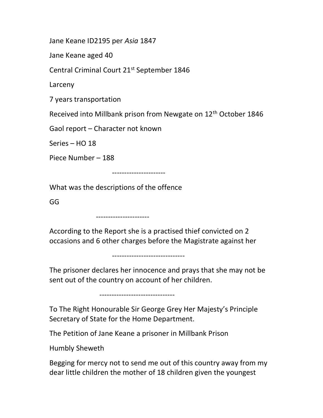Jane Keane ID2195 per Asia 1847

Jane Keane aged 40

Central Criminal Court 21st September 1846

Larceny

7 years transportation

Received into Millbank prison from Newgate on 12<sup>th</sup> October 1846

Gaol report – Character not known

Series – HO 18

Piece Number – 188

----------------------

What was the descriptions of the offence

GG

----------------------

According to the Report she is a practised thief convicted on 2 occasions and 6 other charges before the Magistrate against her

------------------------------

The prisoner declares her innocence and prays that she may not be sent out of the country on account of her children.

-------------------------------

To The Right Honourable Sir George Grey Her Majesty's Principle Secretary of State for the Home Department.

The Petition of Jane Keane a prisoner in Millbank Prison

Humbly Sheweth

Begging for mercy not to send me out of this country away from my dear little children the mother of 18 children given the youngest